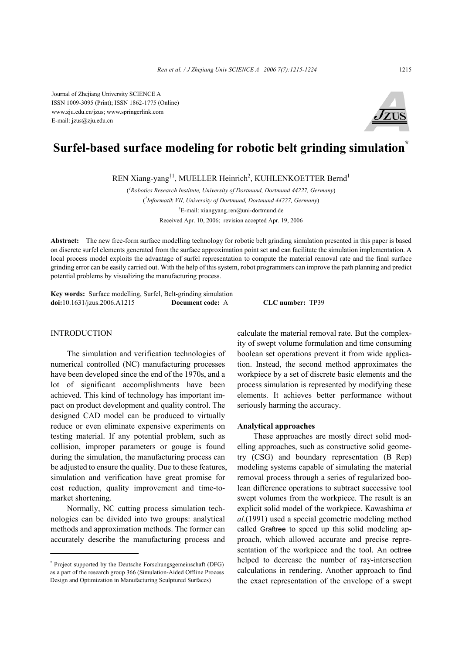Journal of Zhejiang University SCIENCE A ISSN 1009-3095 (Print); ISSN 1862-1775 (Online) www.zju.edu.cn/jzus; www.springerlink.com E-mail: jzus@zju.edu.cn



# **Surfel-based surface modeling for robotic belt grinding simulation\***

REN Xiang-yang<sup>†1</sup>, MUELLER Heinrich<sup>2</sup>, KUHLENKOETTER Bernd<sup>1</sup>

( *1 Robotics Research Institute, University of Dortmund, Dortmund 44227, Germany*) ( *2 Informatik VII, University of Dortmund, Dortmund 44227, Germany*) † E-mail: xiangyang.ren@uni-dortmund.de Received Apr. 10, 2006; revision accepted Apr. 19, 2006

**Abstract:** The new free-form surface modelling technology for robotic belt grinding simulation presented in this paper is based on discrete surfel elements generated from the surface approximation point set and can facilitate the simulation implementation. A local process model exploits the advantage of surfel representation to compute the material removal rate and the final surface grinding error can be easily carried out. With the help of this system, robot programmers can improve the path planning and predict potential problems by visualizing the manufacturing process.

**Key words:** Surface modelling, Surfel, Belt-grinding simulation **doi:**10.1631/jzus.2006.A1215 **Document code:** A **CLC number:** TP39

# INTRODUCTION

The simulation and verification technologies of numerical controlled (NC) manufacturing processes have been developed since the end of the 1970s, and a lot of significant accomplishments have been achieved. This kind of technology has important impact on product development and quality control. The designed CAD model can be produced to virtually reduce or even eliminate expensive experiments on testing material. If any potential problem, such as collision, improper parameters or gouge is found during the simulation, the manufacturing process can be adjusted to ensure the quality. Due to these features, simulation and verification have great promise for cost reduction, quality improvement and time-tomarket shortening.

Normally, NC cutting process simulation technologies can be divided into two groups: analytical methods and approximation methods. The former can accurately describe the manufacturing process and

calculate the material removal rate. But the complexity of swept volume formulation and time consuming boolean set operations prevent it from wide application. Instead, the second method approximates the workpiece by a set of discrete basic elements and the process simulation is represented by modifying these elements. It achieves better performance without seriously harming the accuracy.

### **Analytical approaches**

These approaches are mostly direct solid modelling approaches, such as constructive solid geometry (CSG) and boundary representation (B\_Rep) modeling systems capable of simulating the material removal process through a series of regularized boolean difference operations to subtract successive tool swept volumes from the workpiece. The result is an explicit solid model of the workpiece. Kawashima *et al*.(1991) used a special geometric modeling method called Graftree to speed up this solid modeling approach, which allowed accurate and precise representation of the workpiece and the tool. An octtree helped to decrease the number of ray-intersection calculations in rendering. Another approach to find the exact representation of the envelope of a swept

<sup>\*</sup> Project supported by the Deutsche Forschungsgemeinschaft (DFG) as a part of the research group 366 (Simulation-Aided Offline Process Design and Optimization in Manufacturing Sculptured Surfaces)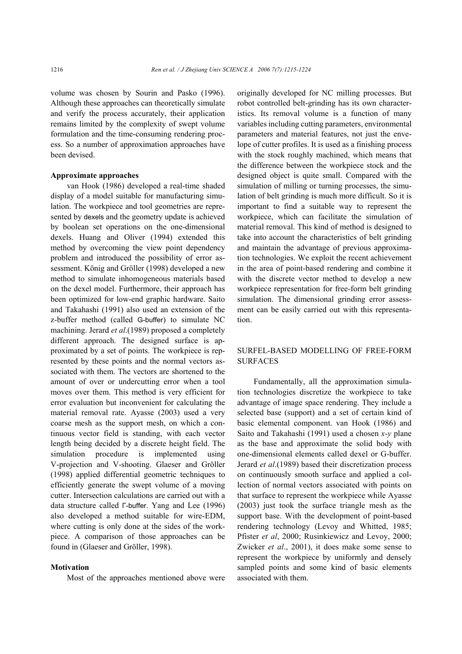volume was chosen by Sourin and Pasko (1996). Although these approaches can theoretically simulate and verify the process accurately, their application remains limited by the complexity of swept volume formulation and the time-consuming rendering process. So a number of approximation approaches have been devised.

#### **Approximate approaches**

van Hook (1986) developed a real-time shaded display of a model suitable for manufacturing simulation. The workpiece and tool geometries are represented by dexels and the geometry update is achieved by boolean set operations on the one-dimensional dexels. Huang and Oliver (1994) extended this method by overcoming the view point dependency problem and introduced the possibility of error assessment. König and Gröller (1998) developed a new method to simulate inhomogeneous materials based on the dexel model. Furthermore, their approach has been optimized for low-end graphic hardware. Saito and Takahashi (1991) also used an extension of the z-buffer method (called G-buffer) to simulate NC machining. Jerard *et al*.(1989) proposed a completely different approach. The designed surface is approximated by a set of points. The workpiece is represented by these points and the normal vectors associated with them. The vectors are shortened to the amount of over or undercutting error when a tool moves over them. This method is very efficient for error evaluation but inconvenient for calculating the material removal rate. Ayasse (2003) used a very coarse mesh as the support mesh, on which a continuous vector field is standing, with each vector length being decided by a discrete height field. The simulation procedure is implemented using V-projection and V-shooting. Glaeser and Gröller (1998) applied differential geometric techniques to efficiently generate the swept volume of a moving cutter. Intersection calculations are carried out with a data structure called Γ-buffer. Yang and Lee (1996) also developed a method suitable for wire-EDM, where cutting is only done at the sides of the workpiece. A comparison of those approaches can be found in (Glaeser and Gröller, 1998).

# **Motivation**

Most of the approaches mentioned above were

originally developed for NC milling processes. But robot controlled belt-grinding has its own characteristics. Its removal volume is a function of many variables including cutting parameters, environmental parameters and material features, not just the envelope of cutter profiles. It is used as a finishing process with the stock roughly machined, which means that the difference between the workpiece stock and the designed object is quite small. Compared with the simulation of milling or turning processes, the simulation of belt grinding is much more difficult. So it is important to find a suitable way to represent the workpiece, which can facilitate the simulation of material removal. This kind of method is designed to take into account the characteristics of belt grinding and maintain the advantage of previous approximation technologies. We exploit the recent achievement in the area of point-based rendering and combine it with the discrete vector method to develop a new workpiece representation for free-form belt grinding simulation. The dimensional grinding error assessment can be easily carried out with this representation.

# SURFEL-BASED MODELLING OF FREE-FORM SURFACES

Fundamentally, all the approximation simulation technologies discretize the workpiece to take advantage of image space rendering. They include a selected base (support) and a set of certain kind of basic elemental component. van Hook (1986) and Saito and Takahashi (1991) used a chosen *x*-*y* plane as the base and approximate the solid body with one-dimensional elements called dexel or G-buffer. Jerard *et al*.(1989) based their discretization process on continuously smooth surface and applied a collection of normal vectors associated with points on that surface to represent the workpiece while Ayasse (2003) just took the surface triangle mesh as the support base. With the development of point-based rendering technology (Levoy and Whitted, 1985; Pfister *et al*, 2000; Rusinkiewicz and Levoy, 2000; Zwicker *et al*., 2001), it does make some sense to represent the workpiece by uniformly and densely sampled points and some kind of basic elements associated with them.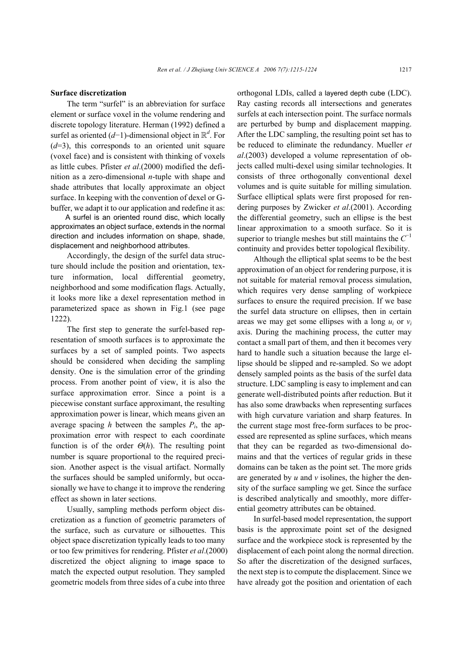## **Surface discretization**

The term "surfel" is an abbreviation for surface element or surface voxel in the volume rendering and discrete topology literature. Herman (1992) defined a surfel as oriented (*d*−1)-dimensional object in R*<sup>d</sup>* . For  $(d=3)$ , this corresponds to an oriented unit square (voxel face) and is consistent with thinking of voxels as little cubes. Pfister *et al*.(2000) modified the definition as a zero-dimensional *n*-tuple with shape and shade attributes that locally approximate an object surface. In keeping with the convention of dexel or Gbuffer, we adapt it to our application and redefine it as:

A surfel is an oriented round disc, which locally approximates an object surface, extends in the normal direction and includes information on shape, shade, displacement and neighborhood attributes.

Accordingly, the design of the surfel data structure should include the position and orientation, texture information, local differential geometry, neighborhood and some modification flags. Actually, it looks more like a dexel representation method in parameterized space as shown in Fig.1 (see page 1222).

The first step to generate the surfel-based representation of smooth surfaces is to approximate the surfaces by a set of sampled points. Two aspects should be considered when deciding the sampling density. One is the simulation error of the grinding process. From another point of view, it is also the surface approximation error. Since a point is a piecewise constant surface approximant, the resulting approximation power is linear, which means given an average spacing *h* between the samples  $P_i$ , the approximation error with respect to each coordinate function is of the order *Θ*(*h*). The resulting point number is square proportional to the required precision. Another aspect is the visual artifact. Normally the surfaces should be sampled uniformly, but occasionally we have to change it to improve the rendering effect as shown in later sections.

Usually, sampling methods perform object discretization as a function of geometric parameters of the surface, such as curvature or silhouettes. This object space discretization typically leads to too many or too few primitives for rendering. Pfister *et al*.(2000) discretized the object aligning to image space to match the expected output resolution. They sampled geometric models from three sides of a cube into three

orthogonal LDIs, called a layered depth cube (LDC). Ray casting records all intersections and generates surfels at each intersection point. The surface normals are perturbed by bump and displacement mapping. After the LDC sampling, the resulting point set has to be reduced to eliminate the redundancy. Mueller *et al*.(2003) developed a volume representation of objects called multi-dexel using similar technologies. It consists of three orthogonally conventional dexel volumes and is quite suitable for milling simulation. Surface elliptical splats were first proposed for rendering purposes by Zwicker *et al*.(2001). According the differential geometry, such an ellipse is the best linear approximation to a smooth surface. So it is superior to triangle meshes but still maintains the *C*<sup>−</sup><sup>1</sup> continuity and provides better topological flexibility.

Although the elliptical splat seems to be the best approximation of an object for rendering purpose, it is not suitable for material removal process simulation, which requires very dense sampling of workpiece surfaces to ensure the required precision. If we base the surfel data structure on ellipses, then in certain areas we may get some ellipses with a long *ui* or *vi* axis. During the machining process, the cutter may contact a small part of them, and then it becomes very hard to handle such a situation because the large ellipse should be slipped and re-sampled. So we adopt densely sampled points as the basis of the surfel data structure. LDC sampling is easy to implement and can generate well-distributed points after reduction. But it has also some drawbacks when representing surfaces with high curvature variation and sharp features. In the current stage most free-form surfaces to be processed are represented as spline surfaces, which means that they can be regarded as two-dimensional domains and that the vertices of regular grids in these domains can be taken as the point set. The more grids are generated by *u* and *v* isolines, the higher the density of the surface sampling we get. Since the surface is described analytically and smoothly, more differential geometry attributes can be obtained.

In surfel-based model representation, the support basis is the approximate point set of the designed surface and the workpiece stock is represented by the displacement of each point along the normal direction. So after the discretization of the designed surfaces, the next step is to compute the displacement. Since we have already got the position and orientation of each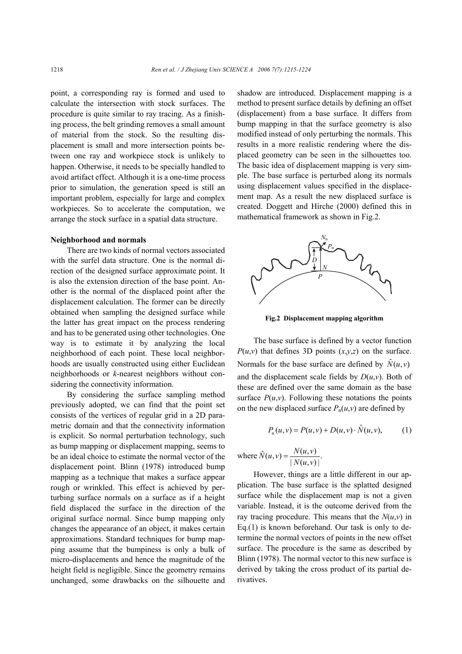point, a corresponding ray is formed and used to calculate the intersection with stock surfaces. The procedure is quite similar to ray tracing. As a finishing process, the belt grinding removes a small amount of material from the stock. So the resulting displacement is small and more intersection points between one ray and workpiece stock is unlikely to happen. Otherwise, it needs to be specially handled to avoid artifact effect. Although it is a one-time process prior to simulation, the generation speed is still an important problem, especially for large and complex workpieces. So to accelerate the computation, we arrange the stock surface in a spatial data structure.

## **Neighborhood and normals**

There are two kinds of normal vectors associated with the surfel data structure. One is the normal direction of the designed surface approximate point. It is also the extension direction of the base point. Another is the normal of the displaced point after the displacement calculation. The former can be directly obtained when sampling the designed surface while the latter has great impact on the process rendering and has to be generated using other technologies. One way is to estimate it by analyzing the local neighborhood of each point. These local neighborhoods are usually constructed using either Euclidean neighborhoods or *k*-nearest neighbors without considering the connectivity information.

By considering the surface sampling method previously adopted, we can find that the point set consists of the vertices of regular grid in a 2D parametric domain and that the connectivity information is explicit. So normal perturbation technology, such as bump mapping or displacement mapping, seems to be an ideal choice to estimate the normal vector of the displacement point. Blinn (1978) introduced bump mapping as a technique that makes a surface appear rough or wrinkled. This effect is achieved by perturbing surface normals on a surface as if a height field displaced the surface in the direction of the original surface normal. Since bump mapping only changes the appearance of an object, it makes certain approximations. Standard techniques for bump mapping assume that the bumpiness is only a bulk of micro-displacements and hence the magnitude of the height field is negligible. Since the geometry remains unchanged, some drawbacks on the silhouette and shadow are introduced. Displacement mapping is a method to present surface details by defining an offset (displacement) from a base surface. It differs from bump mapping in that the surface geometry is also modified instead of only perturbing the normals. This results in a more realistic rendering where the displaced geometry can be seen in the silhouettes too. The basic idea of displacement mapping is very simple. The base surface is perturbed along its normals using displacement values specified in the displacement map. As a result the new displaced surface is created. Doggett and Hirche (2000) defined this in mathematical framework as shown in Fig.2.



**Fig.2 Displacement mapping algorithm**

The base surface is defined by a vector function *P*( $u$ , $v$ ) that defines 3D points ( $x$ , $y$ , $z$ ) on the surface. Normals for the base surface are defined by  $\hat{N}(u,v)$ and the displacement scale fields by  $D(u, v)$ . Both of these are defined over the same domain as the base surface  $P(u, v)$ . Following these notations the points on the new displaced surface  $P_n(u, v)$  are defined by

$$
P_n(u, v) = P(u, v) + D(u, v) \cdot \hat{N}(u, v),
$$
 (1)

where 
$$
\hat{N}(u, v) = \frac{N(u, v)}{|N(u, v)|}
$$
.

However, things are a little different in our application. The base surface is the splatted designed surface while the displacement map is not a given variable. Instead, it is the outcome derived from the ray tracing procedure. This means that the  $N(u, v)$  in Eq.(1) is known beforehand. Our task is only to determine the normal vectors of points in the new offset surface. The procedure is the same as described by Blinn (1978). The normal vector to this new surface is derived by taking the cross product of its partial derivatives.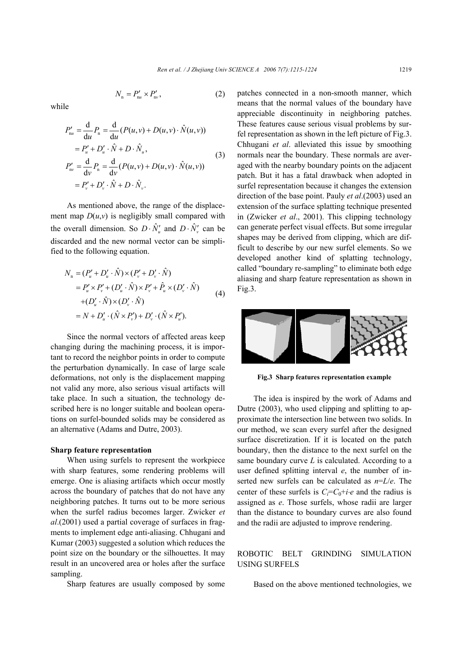while

$$
P'_{nu} = \frac{d}{du} P_n = \frac{d}{du} (P(u, v) + D(u, v) \cdot \hat{N}(u, v))
$$
  
=  $P'_u + D'_u \cdot \hat{N} + D \cdot \hat{N}_u$ ,  

$$
P'_{nv} = \frac{d}{dv} P_n = \frac{d}{dv} (P(u, v) + D(u, v) \cdot \hat{N}(u, v))
$$
  
=  $P'_v + D'_v \cdot \hat{N} + D \cdot \hat{N}_v$ . (3)

 $N_{\rm n} = P'_{\rm nu} \times P'_{\rm nv}$ , (2)

As mentioned above, the range of the displacement map  $D(u, v)$  is negligibly small compared with the overall dimension. So  $D \cdot \hat{N}'_u$  and  $D \cdot \hat{N}'_v$  can be discarded and the new normal vector can be simplified to the following equation.

$$
N_{n} = (P_{u}' + D_{u}' \cdot \hat{N}) \times (P_{v}' + D_{v}' \cdot \hat{N})
$$
  
\n
$$
= P_{u}' \times P_{v}' + (D_{u}' \cdot \hat{N}) \times P_{v}' + \hat{P}_{u} \times (D_{v}' \cdot \hat{N})
$$
  
\n
$$
+ (D_{u}' \cdot \hat{N}) \times (D_{v}' \cdot \hat{N})
$$
  
\n
$$
= N + D_{u}' \cdot (\hat{N} \times P_{v}') + D_{v}' \cdot (\hat{N} \times P_{u}').
$$
\n(4)

Since the normal vectors of affected areas keep changing during the machining process, it is important to record the neighbor points in order to compute the perturbation dynamically. In case of large scale deformations, not only is the displacement mapping not valid any more, also serious visual artifacts will take place. In such a situation, the technology described here is no longer suitable and boolean operations on surfel-bounded solids may be considered as an alternative (Adams and Dutre, 2003).

#### **Sharp feature representation**

When using surfels to represent the workpiece with sharp features, some rendering problems will emerge. One is aliasing artifacts which occur mostly across the boundary of patches that do not have any neighboring patches. It turns out to be more serious when the surfel radius becomes larger. Zwicker *et al*.(2001) used a partial coverage of surfaces in fragments to implement edge anti-aliasing. Chhugani and Kumar (2003) suggested a solution which reduces the point size on the boundary or the silhouettes. It may result in an uncovered area or holes after the surface sampling.

Sharp features are usually composed by some

patches connected in a non-smooth manner, which means that the normal values of the boundary have appreciable discontinuity in neighboring patches. These features cause serious visual problems by surfel representation as shown in the left picture of Fig.3. Chhugani *et al*. alleviated this issue by smoothing normals near the boundary. These normals are averaged with the nearby boundary points on the adjacent patch. But it has a fatal drawback when adopted in surfel representation because it changes the extension direction of the base point. Pauly *et al*.(2003) used an extension of the surface splatting technique presented in (Zwicker *et al*., 2001). This clipping technology can generate perfect visual effects. But some irregular shapes may be derived from clipping, which are difficult to describe by our new surfel elements. So we developed another kind of splatting technology, called "boundary re-sampling" to eliminate both edge aliasing and sharp feature representation as shown in Fig.3.



**Fig.3 Sharp features representation example**

The idea is inspired by the work of Adams and Dutre (2003), who used clipping and splitting to approximate the intersection line between two solids. In our method, we scan every surfel after the designed surface discretization. If it is located on the patch boundary, then the distance to the next surfel on the same boundary curve *L* is calculated. According to a user defined splitting interval *e*, the number of inserted new surfels can be calculated as *n*=*L*/*e*. The center of these surfels is  $C_i = C_0 + i \cdot e$  and the radius is assigned as *e*. Those surfels, whose radii are larger than the distance to boundary curves are also found and the radii are adjusted to improve rendering.

# ROBOTIC BELT GRINDING SIMULATION USING SURFELS

Based on the above mentioned technologies, we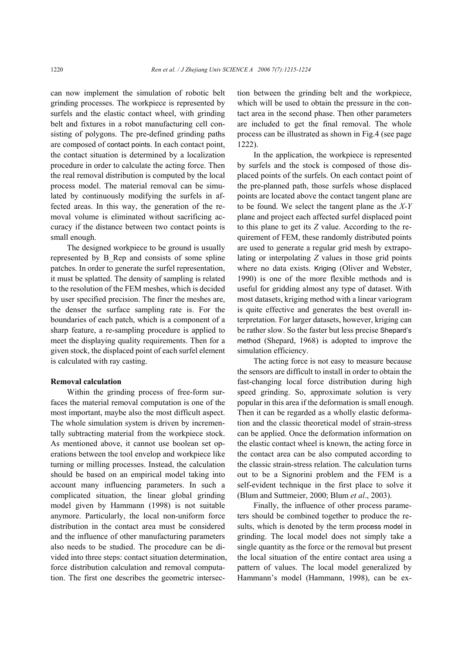can now implement the simulation of robotic belt grinding processes. The workpiece is represented by surfels and the elastic contact wheel, with grinding belt and fixtures in a robot manufacturing cell consisting of polygons. The pre-defined grinding paths are composed of contact points. In each contact point, the contact situation is determined by a localization procedure in order to calculate the acting force. Then the real removal distribution is computed by the local process model. The material removal can be simulated by continuously modifying the surfels in affected areas. In this way, the generation of the removal volume is eliminated without sacrificing accuracy if the distance between two contact points is small enough.

The designed workpiece to be ground is usually represented by B\_Rep and consists of some spline patches. In order to generate the surfel representation, it must be splatted. The density of sampling is related to the resolution of the FEM meshes, which is decided by user specified precision. The finer the meshes are, the denser the surface sampling rate is. For the boundaries of each patch, which is a component of a sharp feature, a re-sampling procedure is applied to meet the displaying quality requirements. Then for a given stock, the displaced point of each surfel element is calculated with ray casting.

## **Removal calculation**

Within the grinding process of free-form surfaces the material removal computation is one of the most important, maybe also the most difficult aspect. The whole simulation system is driven by incrementally subtracting material from the workpiece stock. As mentioned above, it cannot use boolean set operations between the tool envelop and workpiece like turning or milling processes. Instead, the calculation should be based on an empirical model taking into account many influencing parameters. In such a complicated situation, the linear global grinding model given by Hammann (1998) is not suitable anymore. Particularly, the local non-uniform force distribution in the contact area must be considered and the influence of other manufacturing parameters also needs to be studied. The procedure can be divided into three steps: contact situation determination, force distribution calculation and removal computation. The first one describes the geometric intersection between the grinding belt and the workpiece, which will be used to obtain the pressure in the contact area in the second phase. Then other parameters are included to get the final removal. The whole process can be illustrated as shown in Fig.4 (see page 1222).

In the application, the workpiece is represented by surfels and the stock is composed of those displaced points of the surfels. On each contact point of the pre-planned path, those surfels whose displaced points are located above the contact tangent plane are to be found. We select the tangent plane as the *X*-*Y* plane and project each affected surfel displaced point to this plane to get its *Z* value. According to the requirement of FEM, these randomly distributed points are used to generate a regular grid mesh by extrapolating or interpolating *Z* values in those grid points where no data exists. Kriging (Oliver and Webster, 1990) is one of the more flexible methods and is useful for gridding almost any type of dataset. With most datasets, kriging method with a linear variogram is quite effective and generates the best overall interpretation. For larger datasets, however, kriging can be rather slow. So the faster but less precise Shepard's method (Shepard, 1968) is adopted to improve the simulation efficiency.

The acting force is not easy to measure because the sensors are difficult to install in order to obtain the fast-changing local force distribution during high speed grinding. So, approximate solution is very popular in this area if the deformation is small enough. Then it can be regarded as a wholly elastic deformation and the classic theoretical model of strain-stress can be applied. Once the deformation information on the elastic contact wheel is known, the acting force in the contact area can be also computed according to the classic strain-stress relation. The calculation turns out to be a Signorini problem and the FEM is a self-evident technique in the first place to solve it (Blum and Suttmeier, 2000; Blum *et al*., 2003).

Finally, the influence of other process parameters should be combined together to produce the results, which is denoted by the term process model in grinding. The local model does not simply take a single quantity as the force or the removal but present the local situation of the entire contact area using a pattern of values. The local model generalized by Hammann's model (Hammann, 1998), can be ex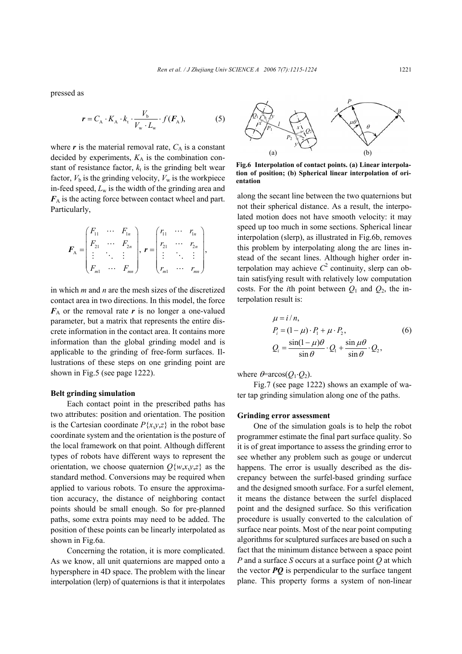pressed as

$$
\mathbf{r} = C_{A} \cdot K_{A} \cdot k_{t} \cdot \frac{V_{b}}{V_{w} \cdot L_{w}} \cdot f(\mathbf{F}_{A}), \tag{5}
$$

where  $r$  is the material removal rate,  $C_A$  is a constant decided by experiments,  $K_A$  is the combination constant of resistance factor,  $k_t$  is the grinding belt wear factor,  $V_b$  is the grinding velocity,  $V_w$  is the workpiece in-feed speed, *L*w is the width of the grinding area and *F*A is the acting force between contact wheel and part. Particularly,

$$
\boldsymbol{F}_{A} = \begin{pmatrix} F_{11} & \cdots & F_{1n} \\ F_{21} & \cdots & F_{2n} \\ \vdots & \ddots & \vdots \\ F_{m1} & \cdots & F_{mn} \end{pmatrix}, \boldsymbol{r} = \begin{pmatrix} r_{11} & \cdots & r_{1n} \\ r_{21} & \cdots & r_{2n} \\ \vdots & \ddots & \vdots \\ r_{m1} & \cdots & r_{mn} \end{pmatrix},
$$

in which *m* and *n* are the mesh sizes of the discretized contact area in two directions. In this model, the force  $F_A$  or the removal rate  $r$  is no longer a one-valued parameter, but a matrix that represents the entire discrete information in the contact area. It contains more information than the global grinding model and is applicable to the grinding of free-form surfaces. Illustrations of these steps on one grinding point are shown in Fig.5 (see page 1222).

#### **Belt grinding simulation**

Each contact point in the prescribed paths has two attributes: position and orientation. The position is the Cartesian coordinate  $P\{x,y,z\}$  in the robot base coordinate system and the orientation is the posture of the local framework on that point. Although different types of robots have different ways to represent the orientation, we choose quaternion  $Q\{w, x, y, z\}$  as the standard method. Conversions may be required when applied to various robots. To ensure the approximation accuracy, the distance of neighboring contact points should be small enough. So for pre-planned paths, some extra points may need to be added. The position of these points can be linearly interpolated as shown in Fig.6a.

Concerning the rotation, it is more complicated. As we know, all unit quaternions are mapped onto a hypersphere in 4D space. The problem with the linear interpolation (lerp) of quaternions is that it interpolates



**Fig.6 Interpolation of contact points. (a) Linear interpolation of position; (b) Spherical linear interpolation of orientation**

along the secant line between the two quaternions but not their spherical distance. As a result, the interpolated motion does not have smooth velocity: it may speed up too much in some sections. Spherical linear interpolation (slerp), as illustrated in Fig.6b, removes this problem by interpolating along the arc lines instead of the secant lines. Although higher order interpolation may achieve  $C^2$  continuity, slerp can obtain satisfying result with relatively low computation costs. For the *i*th point between  $Q_1$  and  $Q_2$ , the interpolation result is:

$$
\mu = i/n,
$$
  
\n
$$
P_i = (1 - \mu) \cdot P_1 + \mu \cdot P_2,
$$
  
\n
$$
Q_i = \frac{\sin(1 - \mu)\theta}{\sin\theta} \cdot Q_1 + \frac{\sin\mu\theta}{\sin\theta} \cdot Q_2,
$$
\n(6)

where  $\theta$ =arcos( $Q_1 \cdot Q_2$ ).

Fig.7 (see page 1222) shows an example of water tap grinding simulation along one of the paths.

#### **Grinding error assessment**

One of the simulation goals is to help the robot programmer estimate the final part surface quality. So it is of great importance to assess the grinding error to see whether any problem such as gouge or undercut happens. The error is usually described as the discrepancy between the surfel-based grinding surface and the designed smooth surface. For a surfel element, it means the distance between the surfel displaced point and the designed surface. So this verification procedure is usually converted to the calculation of surface near points. Most of the near point computing algorithms for sculptured surfaces are based on such a fact that the minimum distance between a space point *P* and a surface *S* occurs at a surface point *Q* at which the vector *PQ* is perpendicular to the surface tangent plane. This property forms a system of non-linear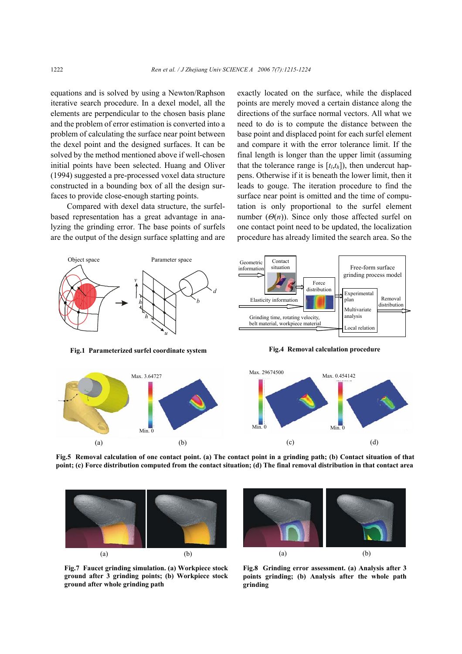equations and is solved by using a Newton/Raphson iterative search procedure. In a dexel model, all the elements are perpendicular to the chosen basis plane and the problem of error estimation is converted into a problem of calculating the surface near point between the dexel point and the designed surfaces. It can be solved by the method mentioned above if well-chosen initial points have been selected. Huang and Oliver (1994) suggested a pre-processed voxel data structure constructed in a bounding box of all the design surfaces to provide close-enough starting points.

Compared with dexel data structure, the surfelbased representation has a great advantage in analyzing the grinding error. The base points of surfels are the output of the design surface splatting and are exactly located on the surface, while the displaced points are merely moved a certain distance along the directions of the surface normal vectors. All what we need to do is to compute the distance between the base point and displaced point for each surfel element and compare it with the error tolerance limit. If the final length is longer than the upper limit (assuming that the tolerance range is  $[t_l,t_h]$ ), then undercut happens. Otherwise if it is beneath the lower limit, then it leads to gouge. The iteration procedure to find the surface near point is omitted and the time of computation is only proportional to the surfel element number  $(\Theta(n))$ . Since only those affected surfel on one contact point need to be updated, the localization procedure has already limited the search area. So the





**Fig.5 Removal calculation of one contact point. (a) The contact point in a grinding path; (b) Contact situation of that point; (c) Force distribution computed from the contact situation; (d) The final removal distribution in that contact area**



**Fig.7 Faucet grinding simulation. (a) Workpiece stock ground after 3 grinding points; (b) Workpiece stock ground after whole grinding path**

**Fig.8 Grinding error assessment. (a) Analysis after 3 points grinding; (b) Analysis after the whole path grinding**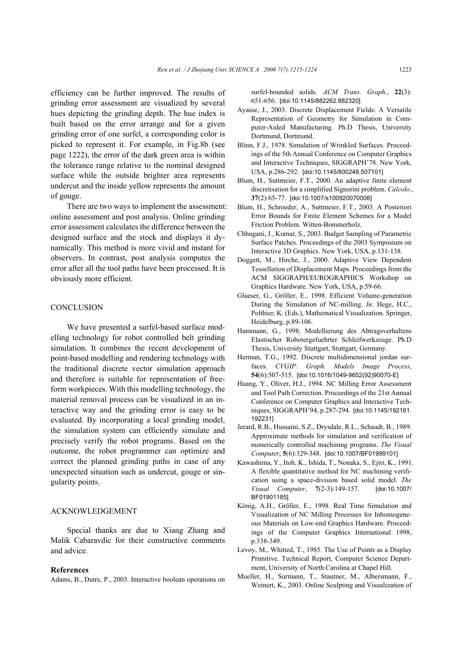efficiency can be further improved. The results of grinding error assessment are visualized by several hues depicting the grinding depth. The hue index is built based on the error arrange and for a given grinding error of one surfel, a corresponding color is picked to represent it. For example, in Fig.8b (see page 1222), the error of the dark green area is within the tolerance range relative to the nominal designed surface while the outside brighter area represents undercut and the inside yellow represents the amount of gouge.

There are two ways to implement the assessment: online assessment and post analysis. Online grinding error assessment calculates the difference between the designed surface and the stock and displays it dynamically. This method is more vivid and instant for observers. In contrast, post analysis computes the error after all the tool paths have been processed. It is obviously more efficient.

# **CONCLUSION**

We have presented a surfel-based surface modelling technology for robot controlled belt grinding simulation. It combines the recent development of point-based modelling and rendering technology with the traditional discrete vector simulation approach and therefore is suitable for representation of freeform workpieces. With this modelling technology, the material removal process can be visualized in an interactive way and the grinding error is easy to be evaluated. By incorporating a local grinding model, the simulation system can efficiently simulate and precisely verify the robot programs. Based on the outcome, the robot programmer can optimize and correct the planned grinding paths in case of any unexpected situation such as undercut, gouge or singularity points.

# ACKNOWLEDGEMENT

Special thanks are due to Xiang Zhang and Malik Cabaravdic for their constructive comments and advice.

#### **References**

Adams, B., Dutre, P., 2003. Interactive boolean operations on

surfel-bounded solids. *ACM Trans. Graph.*, **22**(3): 651-656. [doi:10.1145/882262.882320]

- Ayasse, J., 2003. Discrete Displacement Fields: A Versatile Representation of Geometry for Simulation in Computer-Aided Manufacturing. Ph.D Thesis, University Dortmund, Dortmund.
- Blinn, F.J., 1978. Simulation of Wrinkled Surfaces. Proceedings of the 5th Annual Conference on Computer Graphics and Interactive Techniques, SIGGRAPH'78. New York, USA, p.286-292. [doi:10.1145/800248.507101]
- Blum, H., Suttmeier, F.T., 2000. An adaptive finite element discretisation for a simplified Signorini problem. *Calcolo.*, **37**(2):65-77. [doi:10.1007/s100920070008]
- Blum, H., Schroeder, A., Suttmeier, F.T., 2003. A Posteriori Error Bounds for Finite Element Schemes for a Model Friction Problem. Witten-Bommerholz.
- Chhugani, J., Kumar, S., 2003. Budget Sampling of Parametric Surface Patches. Proceedings of the 2003 Symposium on Interactive 3D Graphics. New York, USA, p.131-138.
- Doggett, M., Hirche, J., 2000. Adaptive View Dependent Tessellation of Displacement Maps. Proceedings from the ACM SIGGRAPH/EUROGRAPHICS Workshop on Graphics Hardware. New York, USA, p.59-66.
- Glaeser, G., Gröller, E., 1998. Efficient Volume-generation During the Simulation of NC-milling. *In*: Hege, H.C., Polthier, K. (Eds.), Mathematical Visualization. Springer, Heidelburg, p.89-106.
- Hammann, G., 1998. Modellierung des Abtragsverhaltens Elastischer Robotergefuehrter Schleifwerkzeuge. Ph.D Thesis, University Stuttgart, Stuttgart, Germany.
- Herman, T.G., 1992. Discrete multidimensional jordan surfaces. *CVGIP: Graph. Models Image Process*, **54**(6):507-515. [doi:10.1016/1049-9652(92)90070-E]
- Huang, Y., Oliver, H.J., 1994. NC Milling Error Assessment and Tool Path Correction. Proceedings of the 21st Annual Conference on Computer Graphics and Interactive Techniques, SIGGRAPH'94, p.287-294. [doi:10.1145/192161. 192231]
- Jerard, R.B., Hussaini, S.Z., Drysdale, R.L., Schaudt, B., 1989. Approximate methods for simulation and verification of numerically controlled machining programs. *The Visual Computer*, **5**(6):329-348. [doi:10.1007/BF01999101]
- Kawashima, Y., Itoh, K., Ishida, T., Nonaka, S., Ejiri, K., 1991. A flexible quantitative method for NC machining verification using a space-division based solid model. *The Visual Computer*, **7**(2-3):149-157. [doi:10.1007/ BF01901185]
- König, A.H., Gröller, E., 1998. Real Time Simulation and Visualization of NC Milling Processes for Inhomogeneous Materials on Low-end Graphics Hardware. Proceedings of the Computer Graphics International 1998, p.338-349.
- Levoy, M., Whitted, T., 1985. The Use of Points as a Display Primitive. Technical Report, Computer Science Department, University of North Carolina at Chapel Hill.
- Mueller, H., Surmann, T., Stautner, M., Albersmann, F., Weinert, K., 2003. Online Sculpting and Visualization of